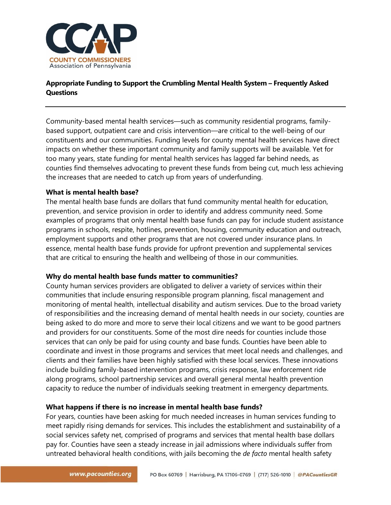

# **Appropriate Funding to Support the Crumbling Mental Health System – Frequently Asked Questions**

Community-based mental health services—such as community residential programs, familybased support, outpatient care and crisis intervention—are critical to the well-being of our constituents and our communities. Funding levels for county mental health services have direct impacts on whether these important community and family supports will be available. Yet for too many years, state funding for mental health services has lagged far behind needs, as counties find themselves advocating to prevent these funds from being cut, much less achieving the increases that are needed to catch up from years of underfunding.

## **What is mental health base?**

The mental health base funds are dollars that fund community mental health for education, prevention, and service provision in order to identify and address community need. Some examples of programs that only mental health base funds can pay for include student assistance programs in schools, respite, hotlines, prevention, housing, community education and outreach, employment supports and other programs that are not covered under insurance plans. In essence, mental health base funds provide for upfront prevention and supplemental services that are critical to ensuring the health and wellbeing of those in our communities.

## **Why do mental health base funds matter to communities?**

County human services providers are obligated to deliver a variety of services within their communities that include ensuring responsible program planning, fiscal management and monitoring of mental health, intellectual disability and autism services. Due to the broad variety of responsibilities and the increasing demand of mental health needs in our society, counties are being asked to do more and more to serve their local citizens and we want to be good partners and providers for our constituents. Some of the most dire needs for counties include those services that can only be paid for using county and base funds. Counties have been able to coordinate and invest in those programs and services that meet local needs and challenges, and clients and their families have been highly satisfied with these local services. These innovations include building family-based intervention programs, crisis response, law enforcement ride along programs, school partnership services and overall general mental health prevention capacity to reduce the number of individuals seeking treatment in emergency departments.

## **What happens if there is no increase in mental health base funds?**

For years, counties have been asking for much needed increases in human services funding to meet rapidly rising demands for services. This includes the establishment and sustainability of a social services safety net, comprised of programs and services that mental health base dollars pay for. Counties have seen a steady increase in jail admissions where individuals suffer from untreated behavioral health conditions, with jails becoming the *de facto* mental health safety